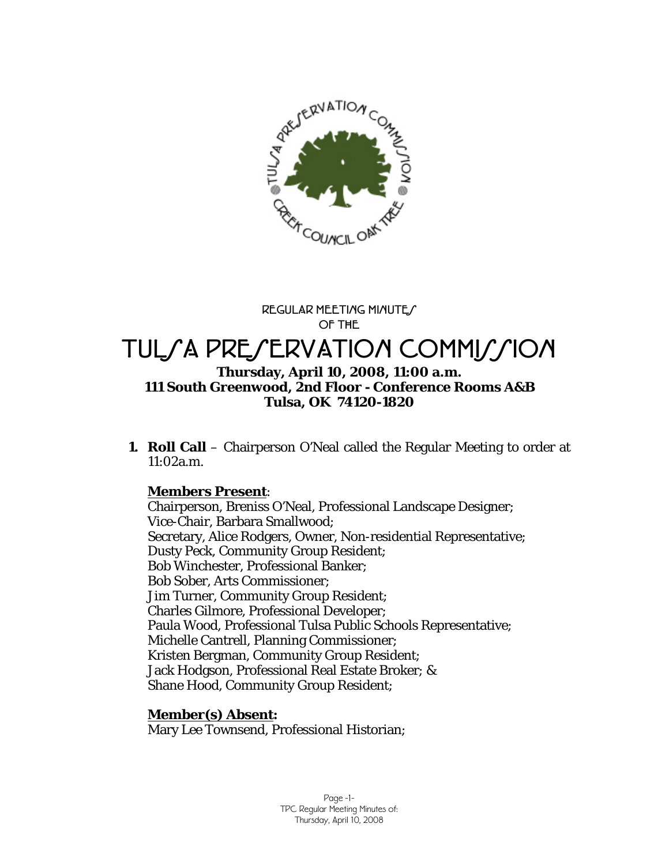

**REGULAR MEETING MINUTES OF THE** 

# TUL*SA PRESERVATION COMMISSION* **Thursday, April 10, 2008, 11:00 a.m. 111 South Greenwood, 2nd Floor - Conference Rooms A&B Tulsa, OK 74120-1820**

**1. Roll Call** – Chairperson O'Neal called the Regular Meeting to order at 11:02a.m.

## **Members Present**:

Chairperson, Breniss O'Neal, Professional Landscape Designer; Vice-Chair, Barbara Smallwood; Secretary, Alice Rodgers, Owner, Non-residential Representative; Dusty Peck, Community Group Resident; Bob Winchester, Professional Banker; Bob Sober, Arts Commissioner; Jim Turner, Community Group Resident; Charles Gilmore, Professional Developer; Paula Wood, Professional Tulsa Public Schools Representative; Michelle Cantrell, Planning Commissioner; Kristen Bergman, Community Group Resident; Jack Hodgson, Professional Real Estate Broker; & Shane Hood, Community Group Resident;

## **Member(s) Absent:**

Mary Lee Townsend, Professional Historian;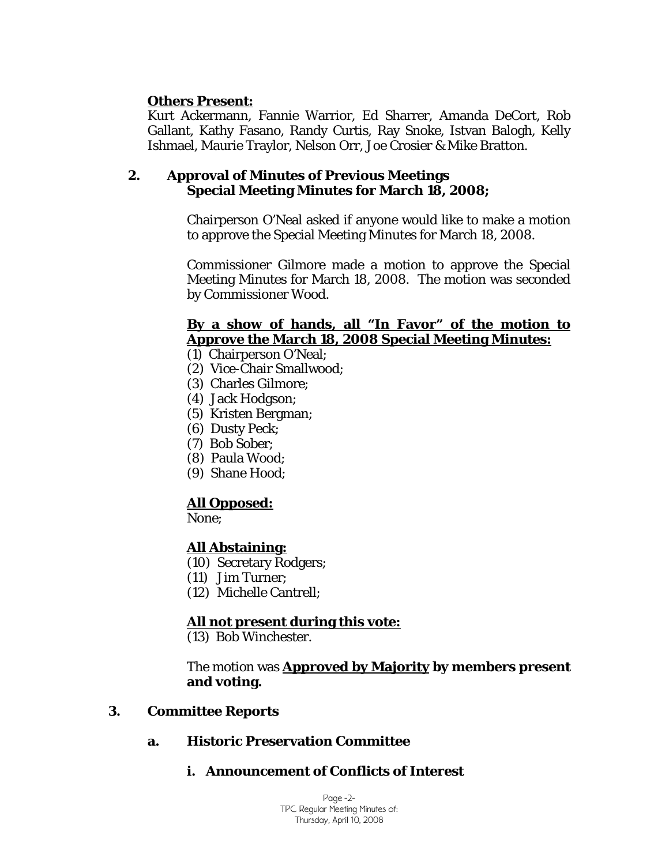### **Others Present:**

Kurt Ackermann, Fannie Warrior, Ed Sharrer, Amanda DeCort, Rob Gallant, Kathy Fasano, Randy Curtis, Ray Snoke, Istvan Balogh, Kelly Ishmael, Maurie Traylor, Nelson Orr, Joe Crosier & Mike Bratton.

### **2. Approval of Minutes of Previous Meetings Special Meeting Minutes for March 18, 2008;**

Chairperson O'Neal asked if anyone would like to make a motion to approve the Special Meeting Minutes for March 18, 2008.

Commissioner Gilmore made a motion to approve the Special Meeting Minutes for March 18, 2008. The motion was seconded by Commissioner Wood.

### **By a show of hands, all "In Favor" of the motion to Approve the March 18, 2008 Special Meeting Minutes:**

(1) Chairperson O'Neal;

- (2) Vice-Chair Smallwood;
- (3) Charles Gilmore;
- (4) Jack Hodgson;
- (5) Kristen Bergman;
- (6) Dusty Peck;
- (7) Bob Sober;
- (8) Paula Wood;
- (9) Shane Hood;

## **All Opposed:**

None;

### **All Abstaining:**

- (10) Secretary Rodgers;
- (11) Jim Turner;
- (12) Michelle Cantrell;

### **All not present during this vote:**

(13) Bob Winchester.

The motion was **Approved by Majority by members present and voting.** 

### **3. Committee Reports**

### **a. Historic Preservation Committee**

## **i. Announcement of Conflicts of Interest**

Page -2- TPC Regular Meeting Minutes of: Thursday, April 10, 2008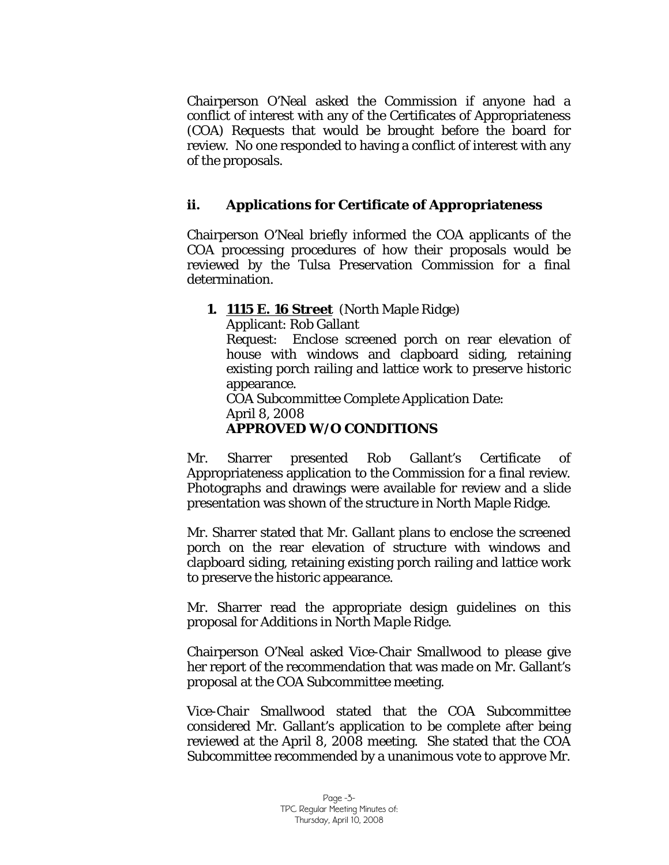Chairperson O'Neal asked the Commission if anyone had a conflict of interest with any of the Certificates of Appropriateness (COA) Requests that would be brought before the board for review. No one responded to having a conflict of interest with any of the proposals.

## **ii. Applications for Certificate of Appropriateness**

Chairperson O'Neal briefly informed the COA applicants of the COA processing procedures of how their proposals would be reviewed by the Tulsa Preservation Commission for a final determination.

### **1. 1115 E. 16 Street** (North Maple Ridge)

Applicant: Rob Gallant

Request: Enclose screened porch on rear elevation of house with windows and clapboard siding, retaining existing porch railing and lattice work to preserve historic appearance.

COA Subcommittee Complete Application Date: April 8, 2008

## **APPROVED W/O CONDITIONS**

Mr. Sharrer presented Rob Gallant's Certificate of Appropriateness application to the Commission for a final review. Photographs and drawings were available for review and a slide presentation was shown of the structure in North Maple Ridge.

Mr. Sharrer stated that Mr. Gallant plans to enclose the screened porch on the rear elevation of structure with windows and clapboard siding, retaining existing porch railing and lattice work to preserve the historic appearance.

Mr. Sharrer read the appropriate design guidelines on this proposal for *Additions in North Maple Ridge.* 

Chairperson O'Neal asked Vice-Chair Smallwood to please give her report of the recommendation that was made on Mr. Gallant's proposal at the COA Subcommittee meeting.

Vice-Chair Smallwood stated that the COA Subcommittee considered Mr. Gallant's application to be complete after being reviewed at the April 8, 2008 meeting. She stated that the COA Subcommittee recommended by a unanimous vote to approve Mr.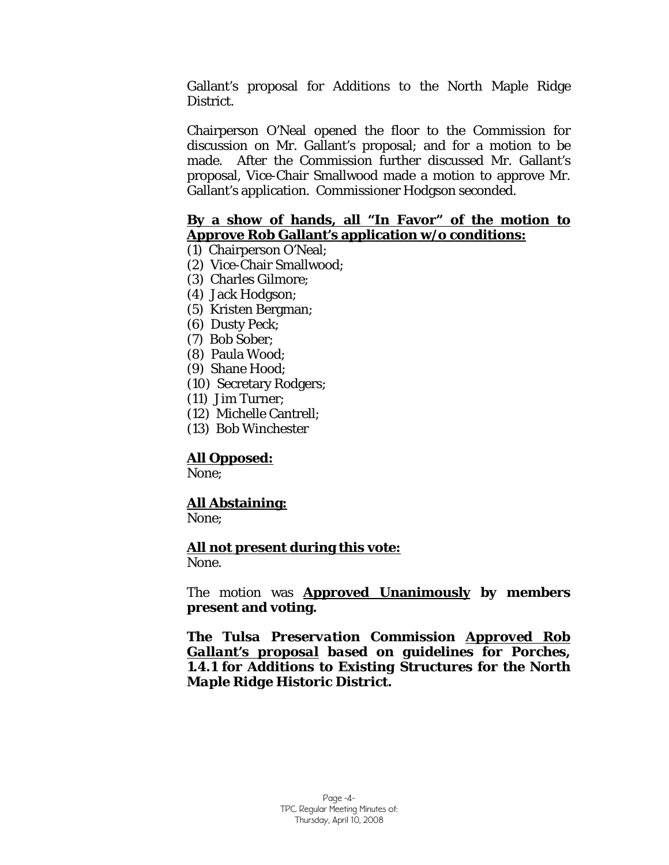Gallant's proposal for *Additions to* the North Maple Ridge District.

Chairperson O'Neal opened the floor to the Commission for discussion on Mr. Gallant's proposal; and for a motion to be made. After the Commission further discussed Mr. Gallant's proposal, Vice-Chair Smallwood made a motion to approve Mr. Gallant's application. Commissioner Hodgson seconded.

### **By a show of hands, all "In Favor" of the motion to Approve Rob Gallant's application w/o conditions:**

- (1) Chairperson O'Neal;
- (2) Vice-Chair Smallwood;
- (3) Charles Gilmore;
- (4) Jack Hodgson;
- (5) Kristen Bergman;
- (6) Dusty Peck;
- (7) Bob Sober;
- (8) Paula Wood;
- (9) Shane Hood;
- (10) Secretary Rodgers;
- (11) Jim Turner;
- (12) Michelle Cantrell;
- (13) Bob Winchester

### **All Opposed:**

None;

## **All Abstaining:**

None;

### **All not present during this vote:**

None.

The motion was **Approved Unanimously by members present and voting.** 

*The Tulsa Preservation Commission Approved Rob Gallant's proposal based on guidelines for Porches, 1.4.1 for Additions to Existing Structures for the North Maple Ridge Historic District.*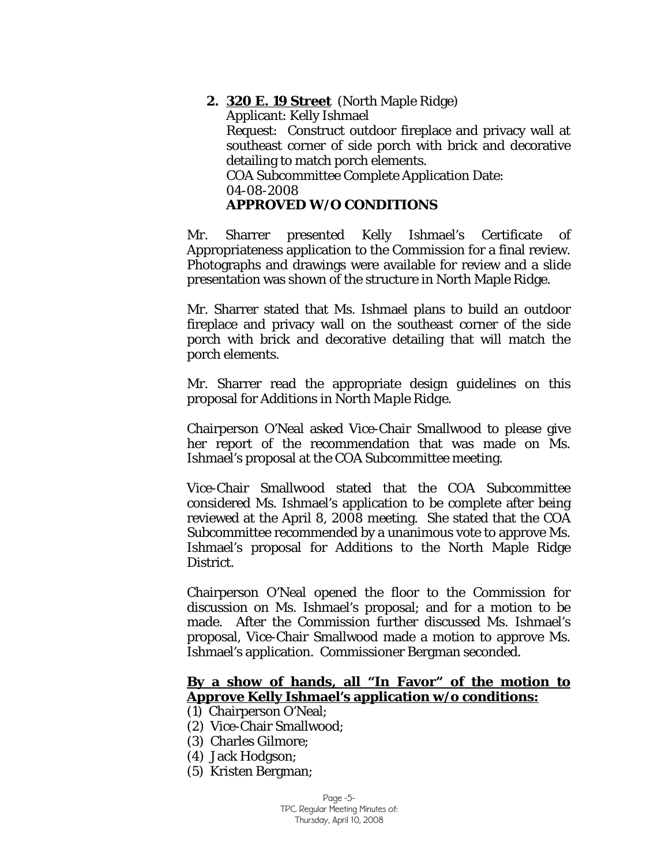**2. 320 E. 19 Street** (North Maple Ridge) Applicant: Kelly Ishmael Request: Construct outdoor fireplace and privacy wall at southeast corner of side porch with brick and decorative detailing to match porch elements. COA Subcommittee Complete Application Date: 04-08-2008 **APPROVED W/O CONDITIONS** 

Mr. Sharrer presented Kelly Ishmael's Certificate of Appropriateness application to the Commission for a final review. Photographs and drawings were available for review and a slide presentation was shown of the structure in North Maple Ridge.

Mr. Sharrer stated that Ms. Ishmael plans to build an outdoor fireplace and privacy wall on the southeast corner of the side porch with brick and decorative detailing that will match the porch elements.

Mr. Sharrer read the appropriate design guidelines on this proposal for *Additions in North Maple Ridge.* 

Chairperson O'Neal asked Vice-Chair Smallwood to please give her report of the recommendation that was made on Ms. Ishmael's proposal at the COA Subcommittee meeting.

Vice-Chair Smallwood stated that the COA Subcommittee considered Ms. Ishmael's application to be complete after being reviewed at the April 8, 2008 meeting. She stated that the COA Subcommittee recommended by a unanimous vote to approve Ms. Ishmael's proposal for *Additions to* the North Maple Ridge District.

Chairperson O'Neal opened the floor to the Commission for discussion on Ms. Ishmael's proposal; and for a motion to be made. After the Commission further discussed Ms. Ishmael's proposal, Vice-Chair Smallwood made a motion to approve Ms. Ishmael's application. Commissioner Bergman seconded.

#### **By a show of hands, all "In Favor" of the motion to Approve Kelly Ishmael's application w/o conditions:**

- (1) Chairperson O'Neal;
- (2) Vice-Chair Smallwood;
- (3) Charles Gilmore;
- (4) Jack Hodgson;
- (5) Kristen Bergman;

Page -5- TPC Regular Meeting Minutes of: Thursday, April 10, 2008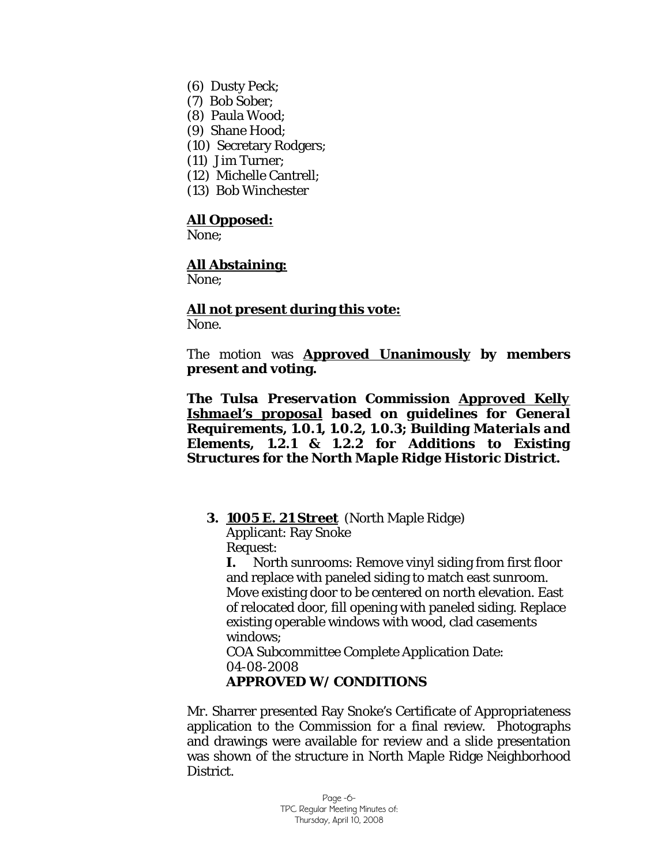- (6) Dusty Peck;
- (7) Bob Sober;
- (8) Paula Wood;
- (9) Shane Hood;
- (10) Secretary Rodgers;
- (11) Jim Turner;
- (12) Michelle Cantrell;
- (13) Bob Winchester

#### **All Opposed:**

None;

#### **All Abstaining:**

None;

#### **All not present during this vote:** None.

The motion was **Approved Unanimously by members present and voting.** 

*The Tulsa Preservation Commission Approved Kelly Ishmael's proposal based on guidelines for General Requirements, 1.0.1, 1.0.2, 1.0.3; Building Materials and Elements, 1.2.1 & 1.2.2 for Additions to Existing Structures for the North Maple Ridge Historic District.* 

**3. 1005 E. 21 Street** (North Maple Ridge)

Applicant: Ray Snoke Request:

**I.** North sunrooms: Remove vinyl siding from first floor and replace with paneled siding to match east sunroom. Move existing door to be centered on north elevation. East of relocated door, fill opening with paneled siding. Replace existing operable windows with wood, clad casements windows;

COA Subcommittee Complete Application Date: 04-08-2008

### **APPROVED W/ CONDITIONS**

Mr. Sharrer presented Ray Snoke's Certificate of Appropriateness application to the Commission for a final review. Photographs and drawings were available for review and a slide presentation was shown of the structure in North Maple Ridge Neighborhood District.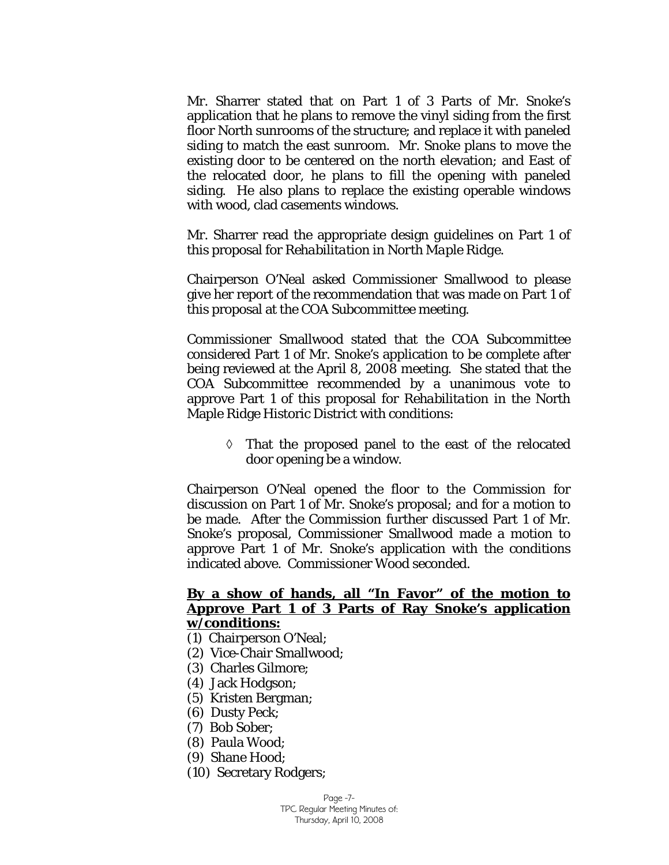Mr. Sharrer stated that on Part 1 of 3 Parts of Mr. Snoke's application that he plans to remove the vinyl siding from the first floor North sunrooms of the structure; and replace it with paneled siding to match the east sunroom. Mr. Snoke plans to move the existing door to be centered on the north elevation; and East of the relocated door, he plans to fill the opening with paneled siding. He also plans to replace the existing operable windows with wood, clad casements windows.

Mr. Sharrer read the appropriate design guidelines on Part 1 of this proposal for *Rehabilitation in North Maple Ridge.* 

Chairperson O'Neal asked Commissioner Smallwood to please give her report of the recommendation that was made on Part 1 of this proposal at the COA Subcommittee meeting.

Commissioner Smallwood stated that the COA Subcommittee considered Part 1 of Mr. Snoke's application to be complete after being reviewed at the April 8, 2008 meeting. She stated that the COA Subcommittee recommended by a unanimous vote to approve Part 1 of this proposal for *Rehabilitation* in the North Maple Ridge Historic District with conditions:

◊ That the proposed panel to the east of the relocated door opening be a window.

Chairperson O'Neal opened the floor to the Commission for discussion on Part 1 of Mr. Snoke's proposal; and for a motion to be made. After the Commission further discussed Part 1 of Mr. Snoke's proposal, Commissioner Smallwood made a motion to approve Part 1 of Mr. Snoke's application with the conditions indicated above. Commissioner Wood seconded.

#### **By a show of hands, all "In Favor" of the motion to Approve Part 1 of 3 Parts of Ray Snoke's application w/conditions:**

- (1) Chairperson O'Neal;
- (2) Vice-Chair Smallwood;
- (3) Charles Gilmore;
- (4) Jack Hodgson;
- (5) Kristen Bergman;
- (6) Dusty Peck;
- (7) Bob Sober;
- (8) Paula Wood;
- (9) Shane Hood;
- (10) Secretary Rodgers;

Page -7- TPC Regular Meeting Minutes of: Thursday, April 10, 2008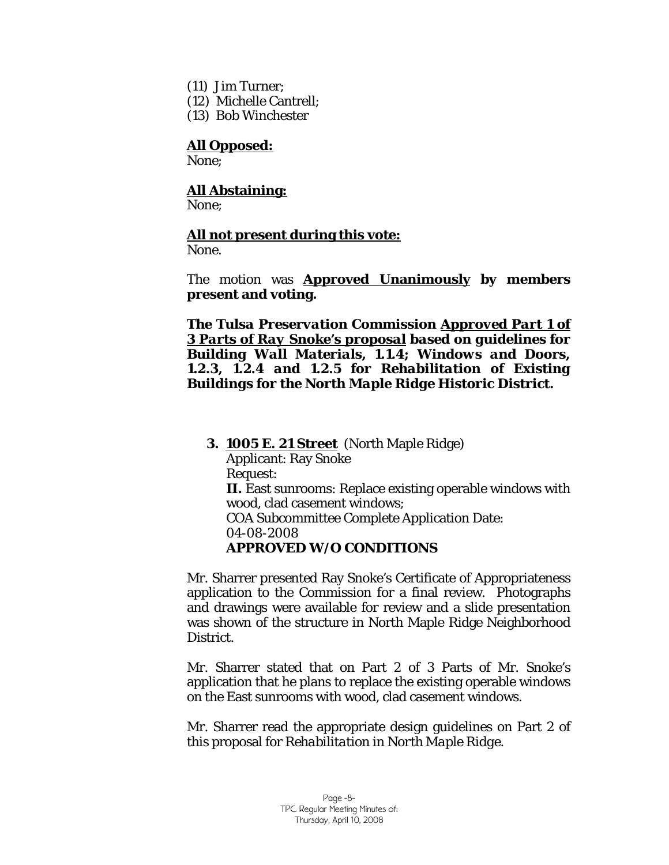- (11) Jim Turner;
- (12) Michelle Cantrell;
- (13) Bob Winchester

#### **All Opposed:**

None;

### **All Abstaining:**

None:

#### **All not present during this vote:**

None.

The motion was **Approved Unanimously by members present and voting.** 

*The Tulsa Preservation Commission Approved Part 1 of 3 Parts of Ray Snoke's proposal based on guidelines for Building Wall Materials, 1.1.4; Windows and Doors, 1.2.3, 1.2.4 and 1.2.5 for Rehabilitation of Existing Buildings for the North Maple Ridge Historic District.* 

#### **3. 1005 E. 21 Street** (North Maple Ridge)

Applicant: Ray Snoke Request: **II.** East sunrooms: Replace existing operable windows with wood, clad casement windows; COA Subcommittee Complete Application Date: 04-08-2008 **APPROVED W/O CONDITIONS** 

Mr. Sharrer presented Ray Snoke's Certificate of Appropriateness application to the Commission for a final review. Photographs and drawings were available for review and a slide presentation was shown of the structure in North Maple Ridge Neighborhood District.

Mr. Sharrer stated that on Part 2 of 3 Parts of Mr. Snoke's application that he plans to replace the existing operable windows on the East sunrooms with wood, clad casement windows.

Mr. Sharrer read the appropriate design guidelines on Part 2 of this proposal for *Rehabilitation in North Maple Ridge.*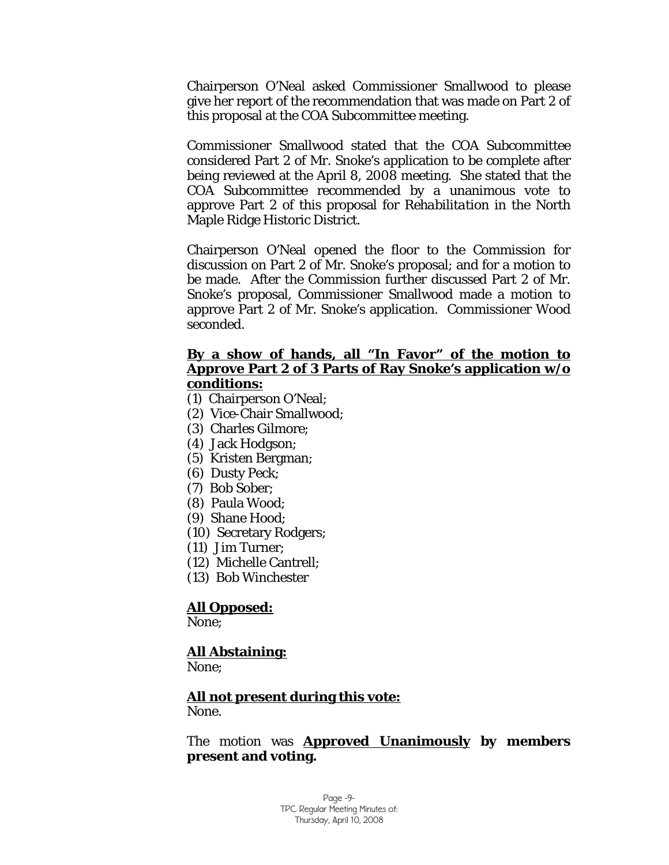Chairperson O'Neal asked Commissioner Smallwood to please give her report of the recommendation that was made on Part 2 of this proposal at the COA Subcommittee meeting.

Commissioner Smallwood stated that the COA Subcommittee considered Part 2 of Mr. Snoke's application to be complete after being reviewed at the April 8, 2008 meeting. She stated that the COA Subcommittee recommended by a unanimous vote to approve Part 2 of this proposal for *Rehabilitation* in the North Maple Ridge Historic District.

Chairperson O'Neal opened the floor to the Commission for discussion on Part 2 of Mr. Snoke's proposal; and for a motion to be made. After the Commission further discussed Part 2 of Mr. Snoke's proposal, Commissioner Smallwood made a motion to approve Part 2 of Mr. Snoke's application. Commissioner Wood seconded.

### **By a show of hands, all "In Favor" of the motion to Approve Part 2 of 3 Parts of Ray Snoke's application w/o conditions:**

- (1) Chairperson O'Neal;
- (2) Vice-Chair Smallwood;
- (3) Charles Gilmore;
- (4) Jack Hodgson;
- (5) Kristen Bergman;
- (6) Dusty Peck;
- (7) Bob Sober;
- (8) Paula Wood;
- (9) Shane Hood;
- (10) Secretary Rodgers;
- (11) Jim Turner;
- (12) Michelle Cantrell;
- (13) Bob Winchester

#### **All Opposed:**

None;

## **All Abstaining:**

None;

### **All not present during this vote:**

None.

#### The motion was **Approved Unanimously by members present and voting.**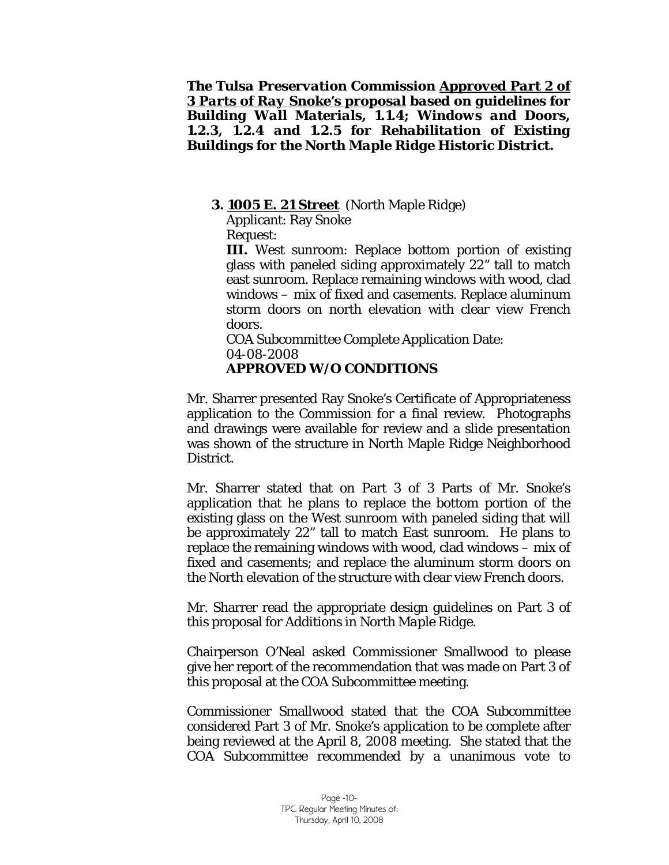*The Tulsa Preservation Commission Approved Part 2 of 3 Parts of Ray Snoke's proposal based on guidelines for Building Wall Materials, 1.1.4; Windows and Doors, 1.2.3, 1.2.4 and 1.2.5 for Rehabilitation of Existing Buildings for the North Maple Ridge Historic District.* 

#### **3. 1005 E. 21 Street** (North Maple Ridge)

Applicant: Ray Snoke Request:

**III.** West sunroom: Replace bottom portion of existing glass with paneled siding approximately 22" tall to match east sunroom. Replace remaining windows with wood, clad windows – mix of fixed and casements. Replace aluminum storm doors on north elevation with clear view French doors.

COA Subcommittee Complete Application Date: 04-08-2008 **APPROVED W/O CONDITIONS** 

Mr. Sharrer presented Ray Snoke's Certificate of Appropriateness application to the Commission for a final review. Photographs and drawings were available for review and a slide presentation was shown of the structure in North Maple Ridge Neighborhood District.

Mr. Sharrer stated that on Part 3 of 3 Parts of Mr. Snoke's application that he plans to replace the bottom portion of the existing glass on the West sunroom with paneled siding that will be approximately 22" tall to match East sunroom. He plans to replace the remaining windows with wood, clad windows – mix of fixed and casements; and replace the aluminum storm doors on the North elevation of the structure with clear view French doors.

Mr. Sharrer read the appropriate design guidelines on Part 3 of this proposal for *Additions in North Maple Ridge.* 

Chairperson O'Neal asked Commissioner Smallwood to please give her report of the recommendation that was made on Part 3 of this proposal at the COA Subcommittee meeting.

Commissioner Smallwood stated that the COA Subcommittee considered Part 3 of Mr. Snoke's application to be complete after being reviewed at the April 8, 2008 meeting. She stated that the COA Subcommittee recommended by a unanimous vote to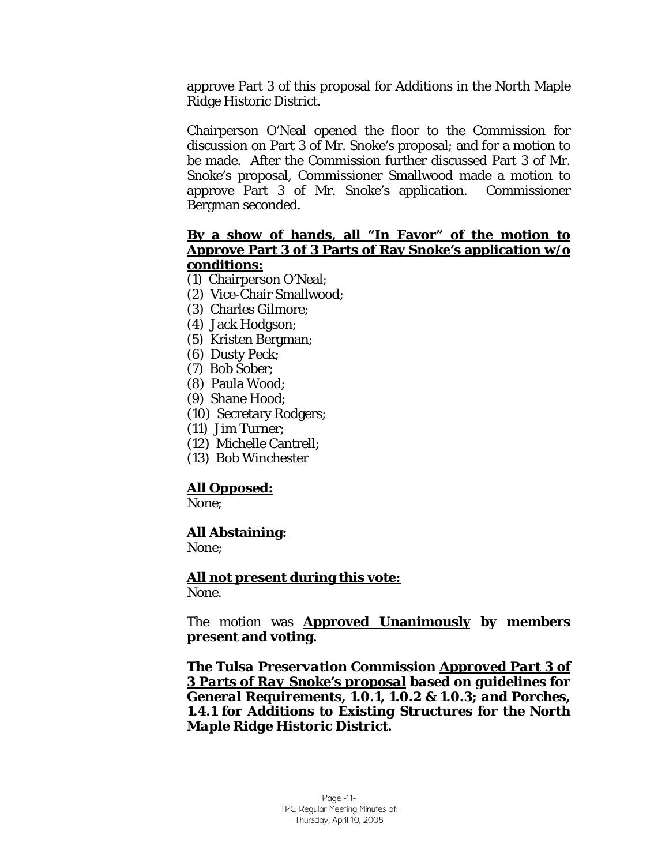approve Part 3 of this proposal for *Additions* in the North Maple Ridge Historic District.

Chairperson O'Neal opened the floor to the Commission for discussion on Part 3 of Mr. Snoke's proposal; and for a motion to be made. After the Commission further discussed Part 3 of Mr. Snoke's proposal, Commissioner Smallwood made a motion to approve Part 3 of Mr. Snoke's application. Commissioner Bergman seconded.

### **By a show of hands, all "In Favor" of the motion to Approve Part 3 of 3 Parts of Ray Snoke's application w/o conditions:**

- (1) Chairperson O'Neal;
- (2) Vice-Chair Smallwood;
- (3) Charles Gilmore;
- (4) Jack Hodgson;
- (5) Kristen Bergman;
- (6) Dusty Peck;
- (7) Bob Sober;
- (8) Paula Wood;
- (9) Shane Hood;
- (10) Secretary Rodgers;
- (11) Jim Turner;
- (12) Michelle Cantrell;
- (13) Bob Winchester

## **All Opposed:**

None;

### **All Abstaining:**

None;

 **All not present during this vote:** None.

The motion was **Approved Unanimously by members present and voting.** 

*The Tulsa Preservation Commission Approved Part 3 of 3 Parts of Ray Snoke's proposal based on guidelines for General Requirements, 1.0.1, 1.0.2 & 1.0.3; and Porches, 1.4.1 for Additions to Existing Structures for the North Maple Ridge Historic District.*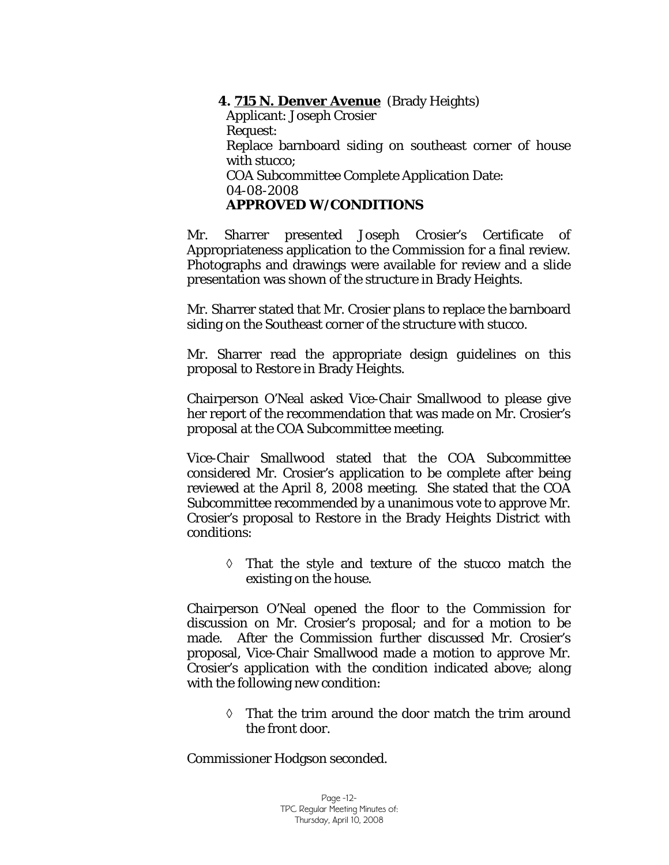**4. 715 N. Denver Avenue** (Brady Heights)

Applicant: Joseph Crosier Request: Replace barnboard siding on southeast corner of house with stucco; COA Subcommittee Complete Application Date: 04-08-2008 **APPROVED W/CONDITIONS** 

Mr. Sharrer presented Joseph Crosier's Certificate of Appropriateness application to the Commission for a final review. Photographs and drawings were available for review and a slide presentation was shown of the structure in Brady Heights.

Mr. Sharrer stated that Mr. Crosier plans to replace the barnboard siding on the Southeast corner of the structure with stucco.

Mr. Sharrer read the appropriate design guidelines on this proposal to *Restore* in Brady Heights.

Chairperson O'Neal asked Vice-Chair Smallwood to please give her report of the recommendation that was made on Mr. Crosier's proposal at the COA Subcommittee meeting.

Vice-Chair Smallwood stated that the COA Subcommittee considered Mr. Crosier's application to be complete after being reviewed at the April 8, 2008 meeting. She stated that the COA Subcommittee recommended by a unanimous vote to approve Mr. Crosier's proposal to *Restore* in the Brady Heights District with conditions:

> ◊ That the style and texture of the stucco match the existing on the house.

Chairperson O'Neal opened the floor to the Commission for discussion on Mr. Crosier's proposal; and for a motion to be made. After the Commission further discussed Mr. Crosier's proposal, Vice-Chair Smallwood made a motion to approve Mr. Crosier's application with the condition indicated above; along with the following new condition:

◊ That the trim around the door match the trim around the front door.

Commissioner Hodgson seconded.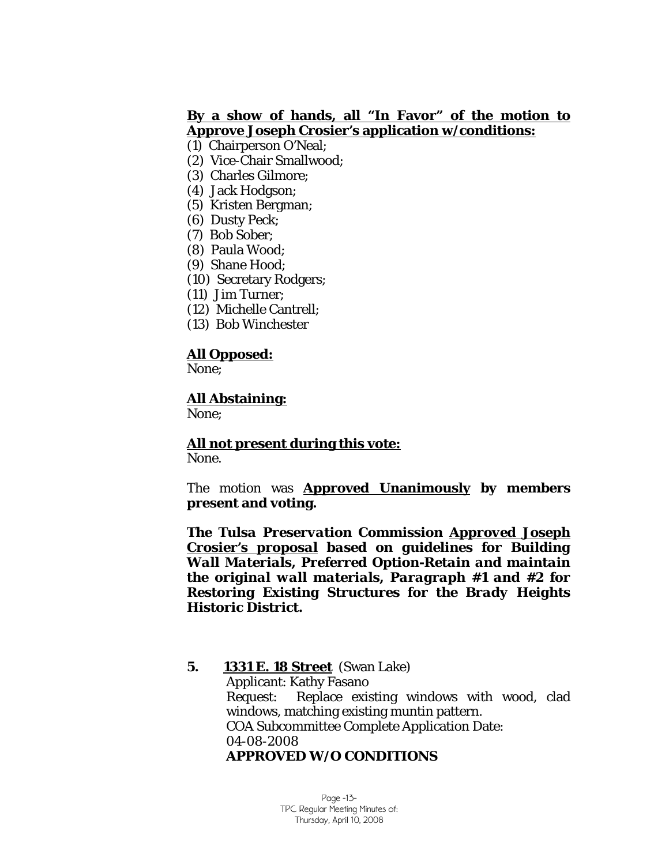### **By a show of hands, all "In Favor" of the motion to Approve Joseph Crosier's application w/conditions:**

- (1) Chairperson O'Neal;
- (2) Vice-Chair Smallwood;
- (3) Charles Gilmore;
- (4) Jack Hodgson;
- (5) Kristen Bergman;
- (6) Dusty Peck;
- (7) Bob Sober;
- (8) Paula Wood;
- (9) Shane Hood;
- (10) Secretary Rodgers;
- (11) Jim Turner;
- (12) Michelle Cantrell;
- (13) Bob Winchester

### **All Opposed:**

None;

### **All Abstaining:**

None;

 **All not present during this vote:** None.

The motion was **Approved Unanimously by members present and voting.** 

*The Tulsa Preservation Commission Approved Joseph Crosier's proposal based on guidelines for Building Wall Materials, Preferred Option-Retain and maintain the original wall materials, Paragraph #1 and #2 for Restoring Existing Structures for the Brady Heights Historic District.* 

**5. 1331 E. 18 Street** (Swan Lake) Applicant: Kathy Fasano Request: Replace existing windows with wood, clad windows, matching existing muntin pattern. COA Subcommittee Complete Application Date: 04-08-2008 **APPROVED W/O CONDITIONS** 

> Page -13- TPC Regular Meeting Minutes of: Thursday, April 10, 2008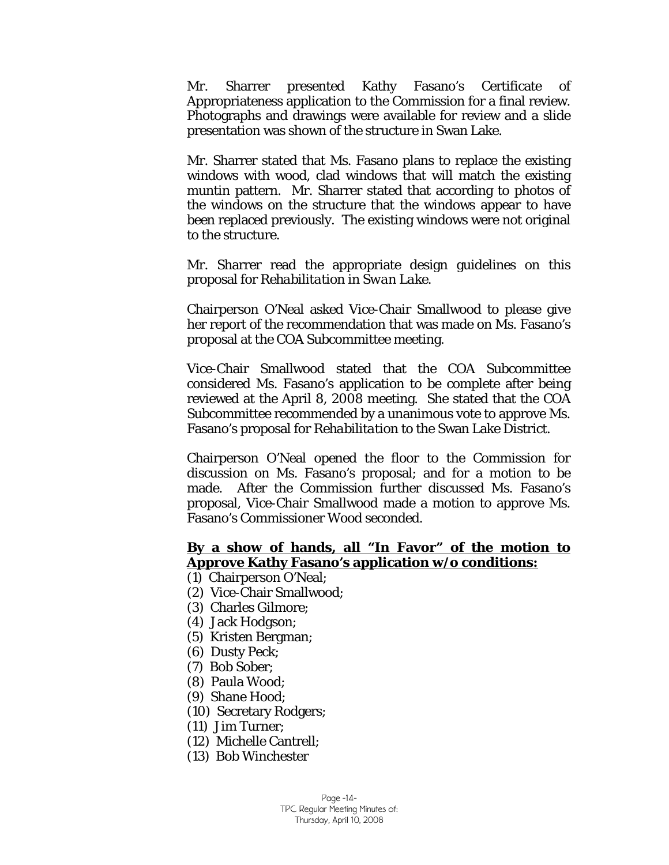Mr. Sharrer presented Kathy Fasano's Certificate of Appropriateness application to the Commission for a final review. Photographs and drawings were available for review and a slide presentation was shown of the structure in Swan Lake.

Mr. Sharrer stated that Ms. Fasano plans to replace the existing windows with wood, clad windows that will match the existing muntin pattern. Mr. Sharrer stated that according to photos of the windows on the structure that the windows appear to have been replaced previously. The existing windows were not original to the structure.

Mr. Sharrer read the appropriate design guidelines on this proposal for *Rehabilitation in Swan Lake.* 

Chairperson O'Neal asked Vice-Chair Smallwood to please give her report of the recommendation that was made on Ms. Fasano's proposal at the COA Subcommittee meeting.

Vice-Chair Smallwood stated that the COA Subcommittee considered Ms. Fasano's application to be complete after being reviewed at the April 8, 2008 meeting. She stated that the COA Subcommittee recommended by a unanimous vote to approve Ms. Fasano's proposal for *Rehabilitation to* the Swan Lake District.

Chairperson O'Neal opened the floor to the Commission for discussion on Ms. Fasano's proposal; and for a motion to be made. After the Commission further discussed Ms. Fasano's proposal, Vice-Chair Smallwood made a motion to approve Ms. Fasano's Commissioner Wood seconded.

### **By a show of hands, all "In Favor" of the motion to Approve Kathy Fasano's application w/o conditions:**

- (1) Chairperson O'Neal;
- (2) Vice-Chair Smallwood;
- (3) Charles Gilmore;
- (4) Jack Hodgson;
- (5) Kristen Bergman;
- (6) Dusty Peck;
- (7) Bob Sober;
- (8) Paula Wood;
- (9) Shane Hood;
- (10) Secretary Rodgers;
- (11) Jim Turner;
- (12) Michelle Cantrell;
- (13) Bob Winchester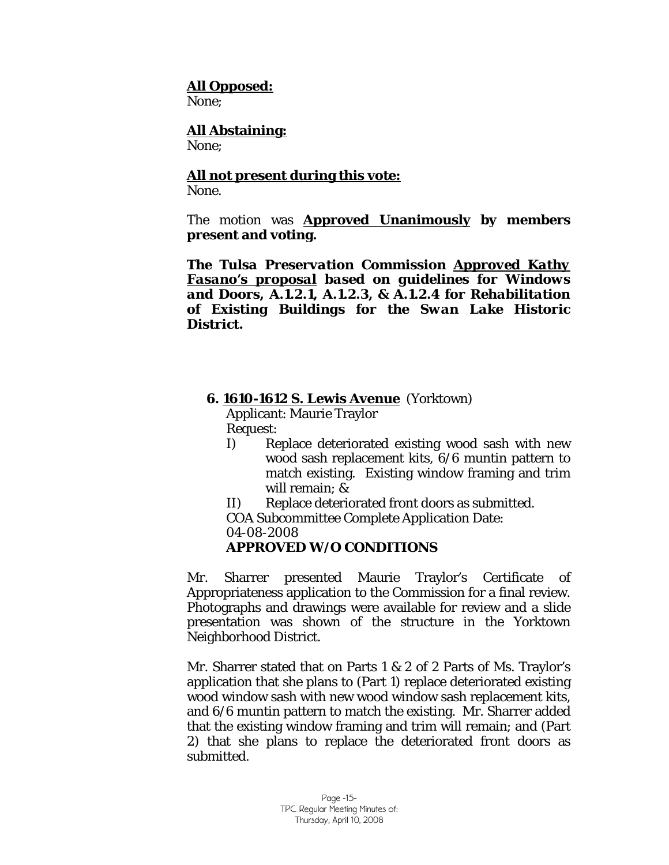### **All Opposed:**

None;

# **All Abstaining:**

None;

# **All not present during this vote:**

None.

The motion was **Approved Unanimously by members present and voting.** 

*The Tulsa Preservation Commission Approved Kathy Fasano's proposal based on guidelines for Windows and Doors, A.1.2.1, A.1.2.3, & A.1.2.4 for Rehabilitation of Existing Buildings for the Swan Lake Historic District.* 

## **6. 1610-1612 S. Lewis Avenue** (Yorktown)

Applicant: Maurie Traylor

Request:

- I) Replace deteriorated existing wood sash with new wood sash replacement kits, 6/6 muntin pattern to match existing. Existing window framing and trim will remain; &
- II) Replace deteriorated front doors as submitted.
- COA Subcommittee Complete Application Date:
- 04-08-2008

## **APPROVED W/O CONDITIONS**

Mr. Sharrer presented Maurie Traylor's Certificate of Appropriateness application to the Commission for a final review. Photographs and drawings were available for review and a slide presentation was shown of the structure in the Yorktown Neighborhood District.

Mr. Sharrer stated that on Parts 1 & 2 of 2 Parts of Ms. Traylor's application that she plans to (Part 1) replace deteriorated existing wood window sash with new wood window sash replacement kits, and 6/6 muntin pattern to match the existing. Mr. Sharrer added that the existing window framing and trim will remain; and (Part 2) that she plans to replace the deteriorated front doors as submitted.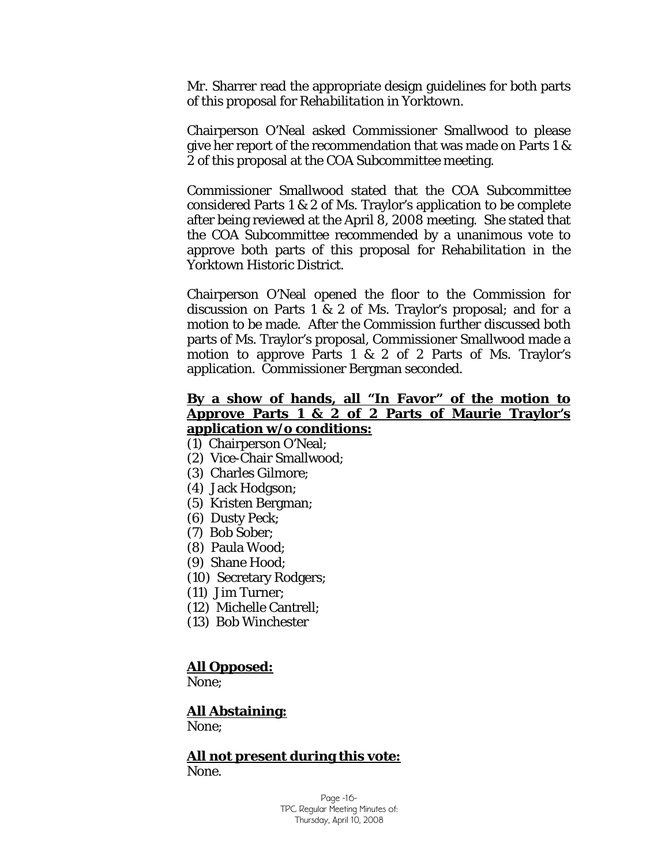Mr. Sharrer read the appropriate design guidelines for both parts of this proposal for *Rehabilitation in Yorktown.* 

Chairperson O'Neal asked Commissioner Smallwood to please give her report of the recommendation that was made on Parts 1 & 2 of this proposal at the COA Subcommittee meeting.

Commissioner Smallwood stated that the COA Subcommittee considered Parts 1 & 2 of Ms. Traylor's application to be complete after being reviewed at the April 8, 2008 meeting. She stated that the COA Subcommittee recommended by a unanimous vote to approve both parts of this proposal for *Rehabilitation* in the Yorktown Historic District.

Chairperson O'Neal opened the floor to the Commission for discussion on Parts 1 & 2 of Ms. Traylor's proposal; and for a motion to be made. After the Commission further discussed both parts of Ms. Traylor's proposal, Commissioner Smallwood made a motion to approve Parts 1 & 2 of 2 Parts of Ms. Traylor's application. Commissioner Bergman seconded.

#### **By a show of hands, all "In Favor" of the motion to Approve Parts 1 & 2 of 2 Parts of Maurie Traylor's application w/o conditions:**

- (1) Chairperson O'Neal;
- (2) Vice-Chair Smallwood;
- (3) Charles Gilmore;
- (4) Jack Hodgson;
- (5) Kristen Bergman;
- (6) Dusty Peck;
- (7) Bob Sober;
- (8) Paula Wood;
- (9) Shane Hood;
- (10) Secretary Rodgers;
- (11) Jim Turner;
- (12) Michelle Cantrell;
- (13) Bob Winchester

#### **All Opposed:**

None;

#### **All Abstaining:**

None:

#### **All not present during this vote:** None.

Page -16- TPC Regular Meeting Minutes of: Thursday, April 10, 2008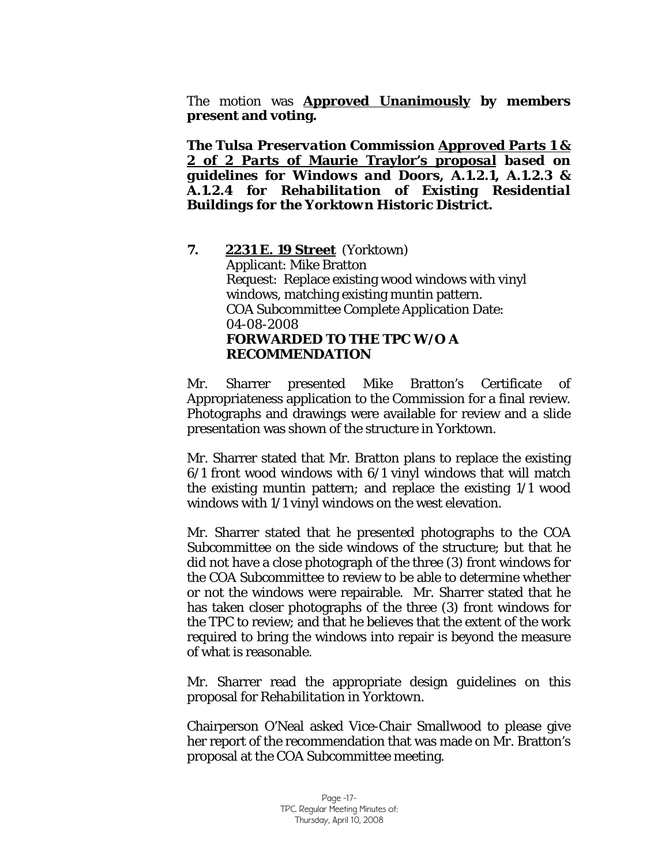The motion was **Approved Unanimously by members present and voting.** 

*The Tulsa Preservation Commission Approved Parts 1 & 2 of 2 Parts of* **Maurie Traylor's** *proposal based on guidelines for Windows and Doors, A.1.2.1, A.1.2.3 & A.1.2.4 for Rehabilitation of Existing Residential Buildings for the Yorktown Historic District.* 

 **7. 2231 E. 19 Street** (Yorktown) Applicant: Mike Bratton Request: Replace existing wood windows with vinyl windows, matching existing muntin pattern. COA Subcommittee Complete Application Date: 04-08-2008 **FORWARDED TO THE TPC W/O A RECOMMENDATION** 

Mr. Sharrer presented Mike Bratton's Certificate of Appropriateness application to the Commission for a final review. Photographs and drawings were available for review and a slide presentation was shown of the structure in Yorktown.

Mr. Sharrer stated that Mr. Bratton plans to replace the existing 6/1 front wood windows with 6/1 vinyl windows that will match the existing muntin pattern; and replace the existing 1/1 wood windows with 1/1 vinyl windows on the west elevation.

Mr. Sharrer stated that he presented photographs to the COA Subcommittee on the side windows of the structure; but that he did not have a close photograph of the three (3) front windows for the COA Subcommittee to review to be able to determine whether or not the windows were repairable. Mr. Sharrer stated that he has taken closer photographs of the three (3) front windows for the TPC to review; and that he believes that the extent of the work required to bring the windows into repair is beyond the measure of what is reasonable.

Mr. Sharrer read the appropriate design guidelines on this proposal for *Rehabilitation in Yorktown.* 

Chairperson O'Neal asked Vice-Chair Smallwood to please give her report of the recommendation that was made on Mr. Bratton's proposal at the COA Subcommittee meeting.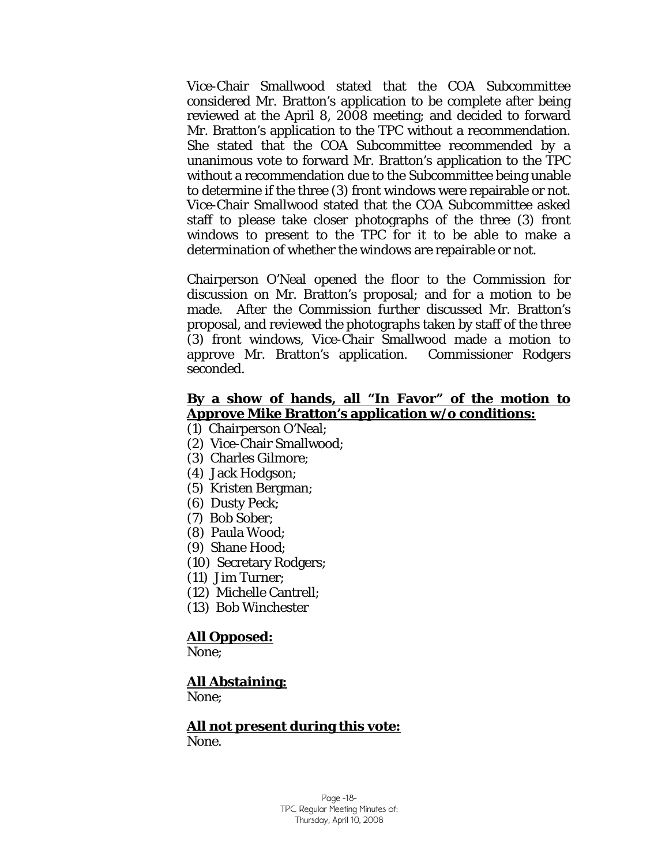Vice-Chair Smallwood stated that the COA Subcommittee considered Mr. Bratton's application to be complete after being reviewed at the April 8, 2008 meeting; and decided to forward Mr. Bratton's application to the TPC without a recommendation. She stated that the COA Subcommittee recommended by a unanimous vote to forward Mr. Bratton's application to the TPC without a recommendation due to the Subcommittee being unable to determine if the three (3) front windows were repairable or not. Vice-Chair Smallwood stated that the COA Subcommittee asked staff to please take closer photographs of the three (3) front windows to present to the TPC for it to be able to make a determination of whether the windows are repairable or not.

Chairperson O'Neal opened the floor to the Commission for discussion on Mr. Bratton's proposal; and for a motion to be made. After the Commission further discussed Mr. Bratton's proposal, and reviewed the photographs taken by staff of the three (3) front windows, Vice-Chair Smallwood made a motion to approve Mr. Bratton's application. Commissioner Rodgers seconded.

# **By a show of hands, all "In Favor" of the motion to Approve Mike Bratton's application w/o conditions:**

- (1) Chairperson O'Neal;
- (2) Vice-Chair Smallwood;
- (3) Charles Gilmore;
- (4) Jack Hodgson;
- (5) Kristen Bergman;
- (6) Dusty Peck;
- (7) Bob Sober;
- (8) Paula Wood;
- (9) Shane Hood;
- (10) Secretary Rodgers;
- (11) Jim Turner;
- (12) Michelle Cantrell;
- (13) Bob Winchester

### **All Opposed:**

None;

#### **All Abstaining:**

None;

 **All not present during this vote:** None.

> Page -18- TPC Regular Meeting Minutes of: Thursday, April 10, 2008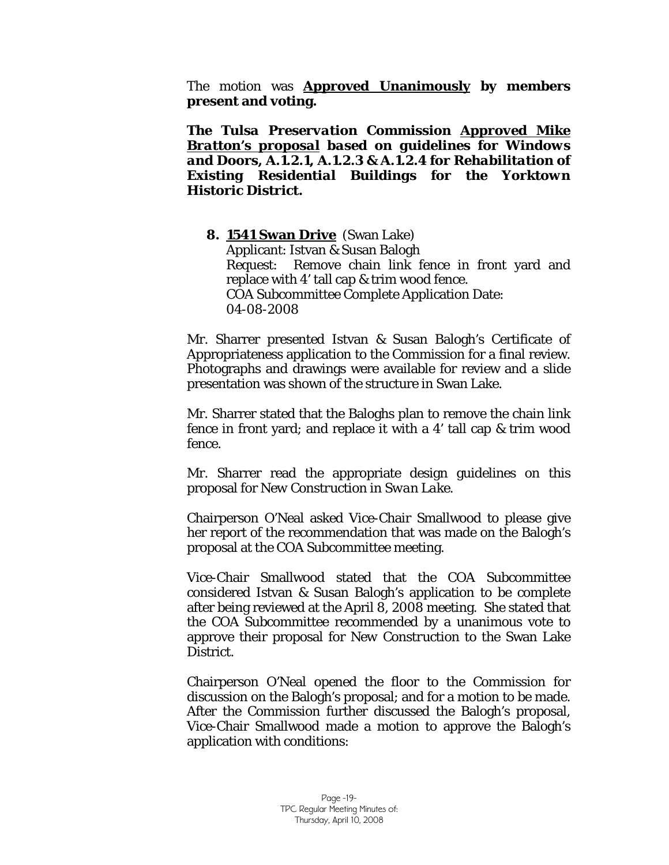The motion was **Approved Unanimously by members present and voting.** 

*The Tulsa Preservation Commission Approved Mike Bratton's proposal based on guidelines for Windows and Doors, A.1.2.1, A.1.2.3 & A.1.2.4 for Rehabilitation of Existing Residential Buildings for the Yorktown Historic District.* 

**8. 1541 Swan Drive** (Swan Lake) Applicant: Istvan & Susan Balogh Request: Remove chain link fence in front yard and replace with 4' tall cap & trim wood fence. COA Subcommittee Complete Application Date: 04-08-2008

Mr. Sharrer presented Istvan & Susan Balogh's Certificate of Appropriateness application to the Commission for a final review. Photographs and drawings were available for review and a slide presentation was shown of the structure in Swan Lake.

Mr. Sharrer stated that the Baloghs plan to remove the chain link fence in front yard; and replace it with a 4' tall cap & trim wood fence.

Mr. Sharrer read the appropriate design guidelines on this proposal for *New Construction in Swan Lake.* 

Chairperson O'Neal asked Vice-Chair Smallwood to please give her report of the recommendation that was made on the Balogh's proposal at the COA Subcommittee meeting.

Vice-Chair Smallwood stated that the COA Subcommittee considered Istvan & Susan Balogh's application to be complete after being reviewed at the April 8, 2008 meeting. She stated that the COA Subcommittee recommended by a unanimous vote to approve their proposal for *New Construction to* the Swan Lake District.

Chairperson O'Neal opened the floor to the Commission for discussion on the Balogh's proposal; and for a motion to be made. After the Commission further discussed the Balogh's proposal, Vice-Chair Smallwood made a motion to approve the Balogh's application with conditions: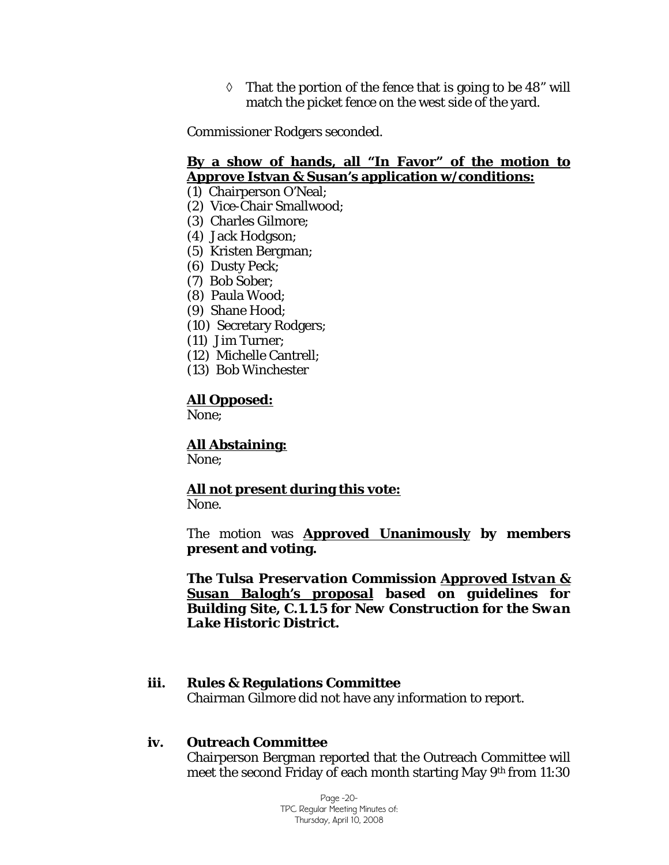$\Diamond$  That the portion of the fence that is going to be 48" will match the picket fence on the west side of the yard.

Commissioner Rodgers seconded.

### **By a show of hands, all "In Favor" of the motion to Approve Istvan & Susan's application w/conditions:**

(1) Chairperson O'Neal;

- (2) Vice-Chair Smallwood;
- (3) Charles Gilmore;
- (4) Jack Hodgson;
- (5) Kristen Bergman;
- (6) Dusty Peck;
- (7) Bob Sober;
- (8) Paula Wood;
- (9) Shane Hood;
- (10) Secretary Rodgers;
- (11) Jim Turner;
- (12) Michelle Cantrell;
- (13) Bob Winchester

#### **All Opposed:**

None;

## **All Abstaining:**

None;

# **All not present during this vote:**

None.

The motion was **Approved Unanimously by members present and voting.** 

*The Tulsa Preservation Commission Approved Istvan & Susan Balogh's proposal based on guidelines for Building Site, C.1.1.5 for New Construction for the Swan Lake Historic District.* 

### **iii. Rules & Regulations Committee**

Chairman Gilmore did not have any information to report.

### **iv. Outreach Committee**

Chairperson Bergman reported that the Outreach Committee will meet the second Friday of each month starting May 9th from 11:30

> Page -20- TPC Regular Meeting Minutes of: Thursday, April 10, 2008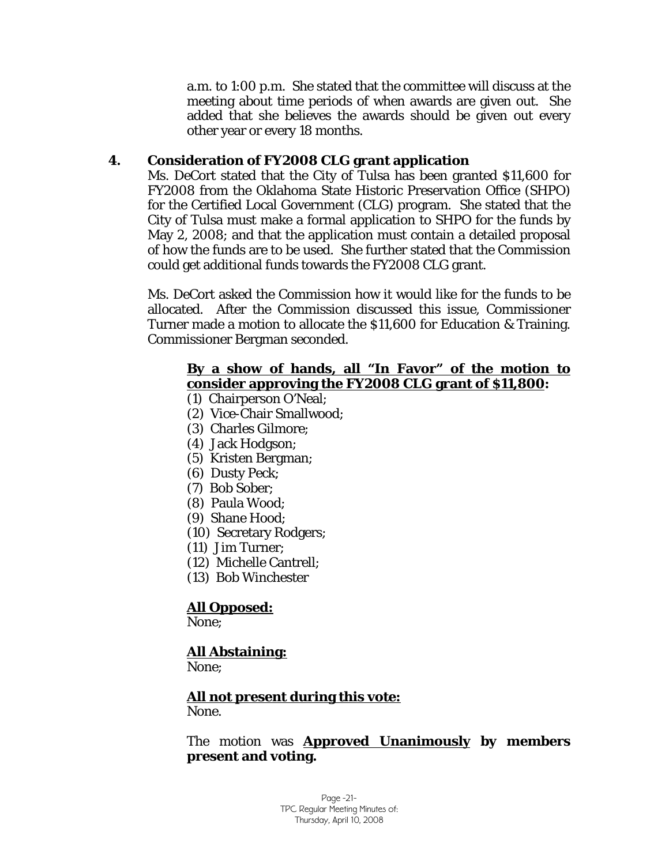a.m. to 1:00 p.m. She stated that the committee will discuss at the meeting about time periods of when awards are given out. She added that she believes the awards should be given out every other year or every 18 months.

## **4. Consideration of FY2008 CLG grant application**

Ms. DeCort stated that the City of Tulsa has been granted \$11,600 for FY2008 from the Oklahoma State Historic Preservation Office (SHPO) for the Certified Local Government (CLG) program. She stated that the City of Tulsa must make a formal application to SHPO for the funds by May 2, 2008; and that the application must contain a detailed proposal of how the funds are to be used. She further stated that the Commission could get additional funds towards the FY2008 CLG grant.

Ms. DeCort asked the Commission how it would like for the funds to be allocated. After the Commission discussed this issue, Commissioner Turner made a motion to allocate the \$11,600 for Education & Training. Commissioner Bergman seconded.

## **By a show of hands, all "In Favor" of the motion to consider approving the FY2008 CLG grant of \$11,800:**

- (1) Chairperson O'Neal;
- (2) Vice-Chair Smallwood;
- (3) Charles Gilmore;
- (4) Jack Hodgson;
- (5) Kristen Bergman;
- (6) Dusty Peck;
- (7) Bob Sober;
- (8) Paula Wood;
- (9) Shane Hood;
- (10) Secretary Rodgers;
- (11) Jim Turner;
- (12) Michelle Cantrell;
- (13) Bob Winchester

## **All Opposed:**

None;

# **All Abstaining:**

None;

## **All not present during this vote:**

None.

### The motion was **Approved Unanimously by members present and voting.**